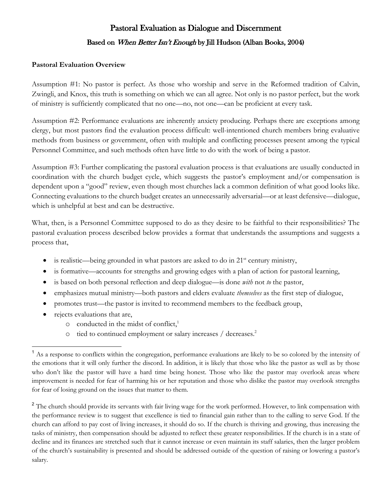# Pastoral Evaluation as Dialogue and Discernment Based on When Better Isn't Enough by Jill Hudson (Alban Books, 2004)

#### **Pastoral Evaluation Overview**

Assumption #1: No pastor is perfect. As those who worship and serve in the Reformed tradition of Calvin, Zwingli, and Knox, this truth is something on which we can all agree. Not only is no pastor perfect, but the work of ministry is sufficiently complicated that no one—no, not one—can be proficient at every task.

Assumption #2: Performance evaluations are inherently anxiety producing. Perhaps there are exceptions among clergy, but most pastors find the evaluation process difficult: well-intentioned church members bring evaluative methods from business or government, often with multiple and conflicting processes present among the typical Personnel Committee, and such methods often have little to do with the work of being a pastor.

Assumption #3: Further complicating the pastoral evaluation process is that evaluations are usually conducted in coordination with the church budget cycle, which suggests the pastor's employment and/or compensation is dependent upon a "good" review, even though most churches lack a common definition of what good looks like. Connecting evaluations to the church budget creates an unnecessarily adversarial—or at least defensive—dialogue, which is unhelpful at best and can be destructive.

What, then, is a Personnel Committee supposed to do as they desire to be faithful to their responsibilities? The pastoral evaluation process described below provides a format that understands the assumptions and suggests a process that,

- is realistic—being grounded in what pastors are asked to do in  $21<sup>st</sup>$  century ministry,
- is formative—accounts for strengths and growing edges with a plan of action for pastoral learning,
- is based on both personal reflection and deep dialogue—is done *with* not *to* the pastor,
- emphasizes mutual ministry—both pastors and elders evaluate *themselves* as the first step of dialogue,
- promotes trust—the pastor is invited to recommend members to the feedback group,
- rejects evaluations that are,
	- o conducted in the midst of conflict,<sup>1</sup>
	- tied to continued employment or salary increases / decreases.<sup>2</sup>

<sup>&</sup>lt;sup>1</sup> As a response to conflicts within the congregation, performance evaluations are likely to be so colored by the intensity of the emotions that it will only further the discord. In addition, it is likely that those who like the pastor as well as by those who don't like the pastor will have a hard time being honest. Those who like the pastor may overlook areas where improvement is needed for fear of harming his or her reputation and those who dislike the pastor may overlook strengths for fear of losing ground on the issues that matter to them.

<sup>&</sup>lt;sup>2</sup> The church should provide its servants with fair living wage for the work performed. However, to link compensation with the performance review is to suggest that excellence is tied to financial gain rather than to the calling to serve God. If the church can afford to pay cost of living increases, it should do so. If the church is thriving and growing, thus increasing the tasks of ministry, then compensation should be adjusted to reflect these greater responsibilities. If the church is in a state of decline and its finances are stretched such that it cannot increase or even maintain its staff salaries, then the larger problem of the church's sustainability is presented and should be addressed outside of the question of raising or lowering a pastor's salary.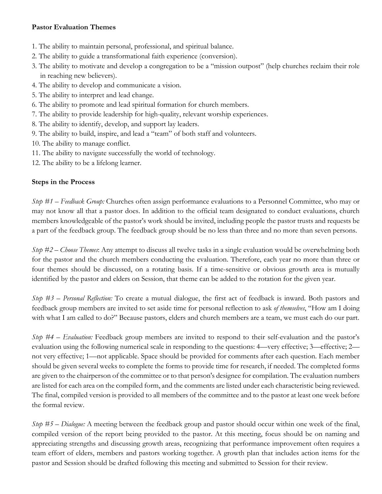#### **Pastor Evaluation Themes**

- 1. The ability to maintain personal, professional, and spiritual balance.
- 2. The ability to guide a transformational faith experience (conversion).
- 3. The ability to motivate and develop a congregation to be a "mission outpost" (help churches reclaim their role in reaching new believers).
- 4. The ability to develop and communicate a vision.
- 5. The ability to interpret and lead change.
- 6. The ability to promote and lead spiritual formation for church members.
- 7. The ability to provide leadership for high-quality, relevant worship experiences.
- 8. The ability to identify, develop, and support lay leaders.
- 9. The ability to build, inspire, and lead a "team" of both staff and volunteers.
- 10. The ability to manage conflict.
- 11. The ability to navigate successfully the world of technology.
- 12. The ability to be a lifelong learner.

## **Steps in the Process**

*Step #1 – Feedback Group:* Churches often assign performance evaluations to a Personnel Committee, who may or may not know all that a pastor does. In addition to the official team designated to conduct evaluations, church members knowledgeable of the pastor's work should be invited, including people the pastor trusts and requests be a part of the feedback group. The feedback group should be no less than three and no more than seven persons.

*Step #2 – Choose Themes*: Any attempt to discuss all twelve tasks in a single evaluation would be overwhelming both for the pastor and the church members conducting the evaluation. Therefore, each year no more than three or four themes should be discussed, on a rotating basis. If a time-sensitive or obvious growth area is mutually identified by the pastor and elders on Session, that theme can be added to the rotation for the given year.

*Step #3 – Personal Reflection:* To create a mutual dialogue, the first act of feedback is inward. Both pastors and feedback group members are invited to set aside time for personal reflection to ask *of themselves*, "How am I doing with what I am called to do?" Because pastors, elders and church members are a team, we must each do our part.

*Step #4 – Evaluation:* Feedback group members are invited to respond to their self-evaluation and the pastor's evaluation using the following numerical scale in responding to the questions: 4—very effective; 3—effective; 2 not very effective; 1—not applicable. Space should be provided for comments after each question. Each member should be given several weeks to complete the forms to provide time for research, if needed. The completed forms are given to the chairperson of the committee or to that person's designee for compilation. The evaluation numbers are listed for each area on the compiled form, and the comments are listed under each characteristic being reviewed. The final, compiled version is provided to all members of the committee and to the pastor at least one week before the formal review.

*Step #5 – Dialogue:* A meeting between the feedback group and pastor should occur within one week of the final, compiled version of the report being provided to the pastor. At this meeting, focus should be on naming and appreciating strengths and discussing growth areas, recognizing that performance improvement often requires a team effort of elders, members and pastors working together. A growth plan that includes action items for the pastor and Session should be drafted following this meeting and submitted to Session for their review.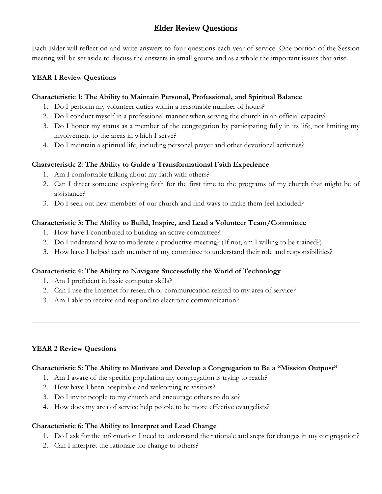# Elder Review Questions

Each Elder will reflect on and write answers to four questions each year of service. One portion of the Session meeting will be set aside to discuss the answers in small groups and as a whole the important issues that arise.

#### **YEAR 1 Review Questions**

#### **Characteristic 1: The Ability to Maintain Personal, Professional, and Spiritual Balance**

- 1. Do I perform my volunteer duties within a reasonable number of hours?
- 2. Do I conduct myself in a professional manner when serving the church in an official capacity?
- 3. Do I honor my status as a member of the congregation by participating fully in its life, not limiting my involvement to the areas in which I serve?
- 4. Do I maintain a spiritual life, including personal prayer and other devotional activities?

## **Characteristic 2: The Ability to Guide a Transformational Faith Experience**

- 1. Am I comfortable talking about my faith with others?
- 2. Can I direct someone exploring faith for the first time to the programs of my church that might be of assistance?
- 3. Do I seek out new members of our church and find ways to make them feel included?

## **Characteristic 3: The Ability to Build, Inspire, and Lead a Volunteer Team/Committee**

- 1. How have I contributed to building an active committee?
- 2. Do I understand how to moderate a productive meeting? (If not, am I willing to be trained?)
- 3. How have I helped each member of my committee to understand their role and responsibilities?

## **Characteristic 4: The Ability to Navigate Successfully the World of Technology**

- 1. Am I proficient in basic computer skills?
- 2. Can I use the Internet for research or communication related to my area of service?
- 3. Am I able to receive and respond to electronic communication?

#### **YEAR 2 Review Questions**

#### **Characteristic 5: The Ability to Motivate and Develop a Congregation to Be a "Mission Outpost"**

- 1. Am I aware of the specific population my congregation is trying to reach?
- 2. How have I been hospitable and welcoming to visitors?
- 3. Do I invite people to my church and encourage others to do so?
- 4. How does my area of service help people to be more effective evangelists?

## **Characteristic 6: The Ability to Interpret and Lead Change**

- 1. Do I ask for the information I need to understand the rationale and steps for changes in my congregation?
- 2. Can I interpret the rationale for change to others?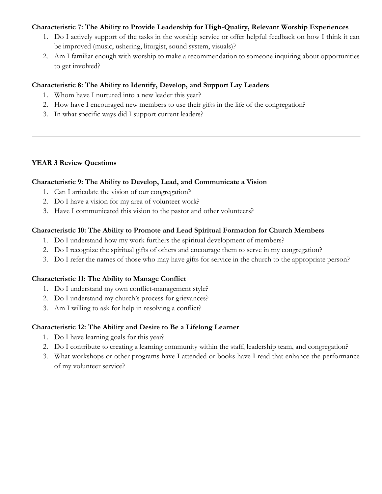#### **Characteristic 7: The Ability to Provide Leadership for High-Quality, Relevant Worship Experiences**

- 1. Do I actively support of the tasks in the worship service or offer helpful feedback on how I think it can be improved (music, ushering, liturgist, sound system, visuals)?
- 2. Am I familiar enough with worship to make a recommendation to someone inquiring about opportunities to get involved?

#### **Characteristic 8: The Ability to Identify, Develop, and Support Lay Leaders**

- 1. Whom have I nurtured into a new leader this year?
- 2. How have I encouraged new members to use their gifts in the life of the congregation?
- 3. In what specific ways did I support current leaders?

#### **YEAR 3 Review Questions**

#### **Characteristic 9: The Ability to Develop, Lead, and Communicate a Vision**

- 1. Can I articulate the vision of our congregation?
- 2. Do I have a vision for my area of volunteer work?
- 3. Have I communicated this vision to the pastor and other volunteers?

#### **Characteristic 10: The Ability to Promote and Lead Spiritual Formation for Church Members**

- 1. Do I understand how my work furthers the spiritual development of members?
- 2. Do I recognize the spiritual gifts of others and encourage them to serve in my congregation?
- 3. Do I refer the names of those who may have gifts for service in the church to the appropriate person?

#### **Characteristic 11: The Ability to Manage Conflict**

- 1. Do I understand my own conflict-management style?
- 2. Do I understand my church's process for grievances?
- 3. Am I willing to ask for help in resolving a conflict?

#### **Characteristic 12: The Ability and Desire to Be a Lifelong Learner**

- 1. Do I have learning goals for this year?
- 2. Do I contribute to creating a learning community within the staff, leadership team, and congregation?
- 3. What workshops or other programs have I attended or books have I read that enhance the performance of my volunteer service?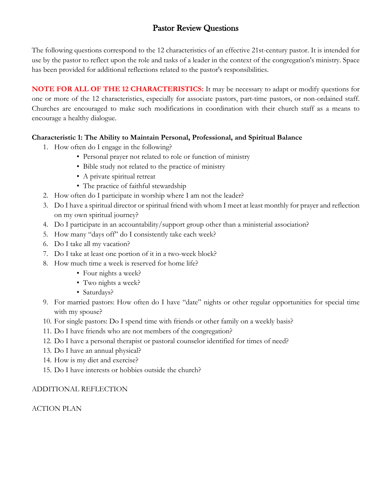# Pastor Review Questions

The following questions correspond to the 12 characteristics of an effective 21st-century pastor. It is intended for use by the pastor to reflect upon the role and tasks of a leader in the context of the congregation's ministry. Space has been provided for additional reflections related to the pastor's responsibilities.

**NOTE FOR ALL OF THE 12 CHARACTERISTICS:** It may be necessary to adapt or modify questions for one or more of the 12 characteristics, especially for associate pastors, part-time pastors, or non-ordained staff. Churches are encouraged to make such modifications in coordination with their church staff as a means to encourage a healthy dialogue.

#### **Characteristic 1: The Ability to Maintain Personal, Professional, and Spiritual Balance**

- 1. How often do I engage in the following?
	- Personal prayer not related to role or function of ministry
	- Bible study not related to the practice of ministry
	- A private spiritual retreat
	- The practice of faithful stewardship
- 2. How often do I participate in worship where I am not the leader?
- 3. Do I have a spiritual director or spiritual friend with whom I meet at least monthly for prayer and reflection on my own spiritual journey?
- 4. Do I participate in an accountability/support group other than a ministerial association?
- 5. How many "days off" do I consistently take each week?
- 6. Do I take all my vacation?
- 7. Do I take at least one portion of it in a two-week block?
- 8. How much time a week is reserved for home life?
	- Four nights a week?
	- Two nights a week?
	- Saturdays?
- 9. For married pastors: How often do I have "date" nights or other regular opportunities for special time with my spouse?
- 10. For single pastors: Do I spend time with friends or other family on a weekly basis?
- 11. Do I have friends who are not members of the congregation?
- 12. Do I have a personal therapist or pastoral counselor identified for times of need?
- 13. Do I have an annual physical?
- 14. How is my diet and exercise?
- 15. Do I have interests or hobbies outside the church?

#### ADDITIONAL REFLECTION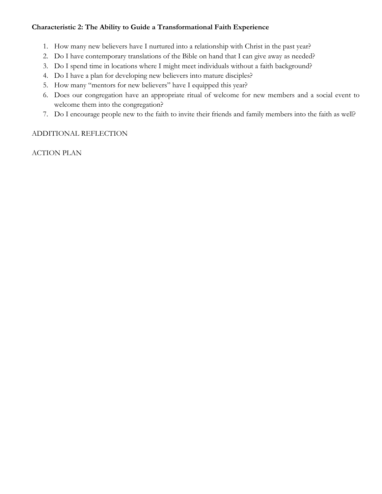## **Characteristic 2: The Ability to Guide a Transformational Faith Experience**

- 1. How many new believers have I nurtured into a relationship with Christ in the past year?
- 2. Do I have contemporary translations of the Bible on hand that I can give away as needed?
- 3. Do I spend time in locations where I might meet individuals without a faith background?
- 4. Do I have a plan for developing new believers into mature disciples?
- 5. How many "mentors for new believers" have I equipped this year?
- 6. Does our congregation have an appropriate ritual of welcome for new members and a social event to welcome them into the congregation?
- 7. Do I encourage people new to the faith to invite their friends and family members into the faith as well?

## ADDITIONAL REFLECTION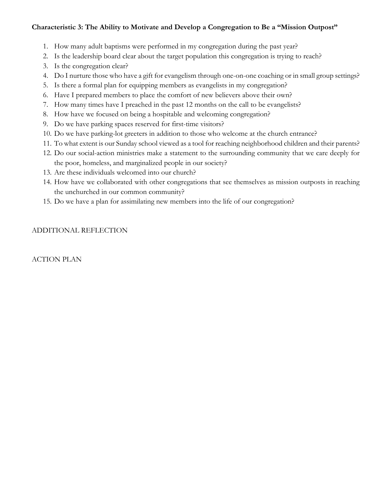#### **Characteristic 3: The Ability to Motivate and Develop a Congregation to Be a "Mission Outpost"**

- 1. How many adult baptisms were performed in my congregation during the past year?
- 2. Is the leadership board clear about the target population this congregation is trying to reach?
- 3. Is the congregation clear?
- 4. Do I nurture those who have a gift for evangelism through one-on-one coaching or in small group settings?
- 5. Is there a formal plan for equipping members as evangelists in my congregation?
- 6. Have I prepared members to place the comfort of new believers above their own?
- 7. How many times have I preached in the past 12 months on the call to be evangelists?
- 8. How have we focused on being a hospitable and welcoming congregation?
- 9. Do we have parking spaces reserved for first-time visitors?
- 10. Do we have parking-lot greeters in addition to those who welcome at the church entrance?
- 11. To what extent is our Sunday school viewed as a tool for reaching neighborhood children and their parents?
- 12. Do our social-action ministries make a statement to the surrounding community that we care deeply for the poor, homeless, and marginalized people in our society?
- 13. Are these individuals welcomed into our church?
- 14. How have we collaborated with other congregations that see themselves as mission outposts in reaching the unchurched in our common community?
- 15. Do we have a plan for assimilating new members into the life of our congregation?

## ADDITIONAL REFLECTION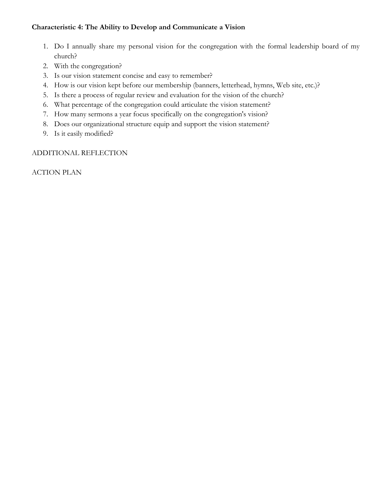#### **Characteristic 4: The Ability to Develop and Communicate a Vision**

- 1. Do I annually share my personal vision for the congregation with the formal leadership board of my church?
- 2. With the congregation?
- 3. Is our vision statement concise and easy to remember?
- 4. How is our vision kept before our membership (banners, letterhead, hymns, Web site, etc.)?
- 5. Is there a process of regular review and evaluation for the vision of the church?
- 6. What percentage of the congregation could articulate the vision statement?
- 7. How many sermons a year focus specifically on the congregation's vision?
- 8. Does our organizational structure equip and support the vision statement?
- 9. Is it easily modified?

#### ADDITIONAL REFLECTION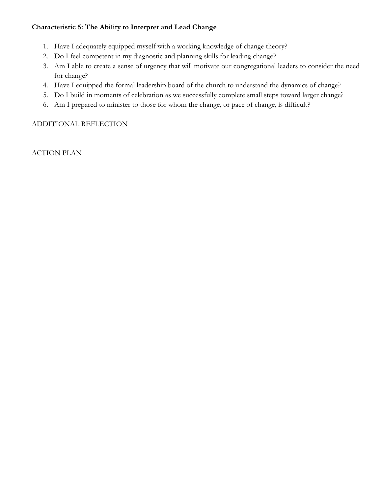#### **Characteristic 5: The Ability to Interpret and Lead Change**

- 1. Have I adequately equipped myself with a working knowledge of change theory?
- 2. Do I feel competent in my diagnostic and planning skills for leading change?
- 3. Am I able to create a sense of urgency that will motivate our congregational leaders to consider the need for change?
- 4. Have I equipped the formal leadership board of the church to understand the dynamics of change?
- 5. Do I build in moments of celebration as we successfully complete small steps toward larger change?
- 6. Am I prepared to minister to those for whom the change, or pace of change, is difficult?

#### ADDITIONAL REFLECTION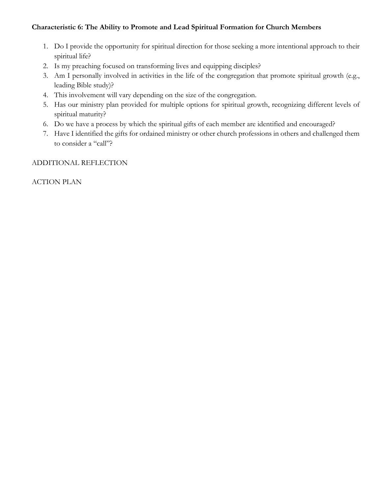## **Characteristic 6: The Ability to Promote and Lead Spiritual Formation for Church Members**

- 1. Do I provide the opportunity for spiritual direction for those seeking a more intentional approach to their spiritual life?
- 2. Is my preaching focused on transforming lives and equipping disciples?
- 3. Am I personally involved in activities in the life of the congregation that promote spiritual growth (e.g., leading Bible study)?
- 4. This involvement will vary depending on the size of the congregation.
- 5. Has our ministry plan provided for multiple options for spiritual growth, recognizing different levels of spiritual maturity?
- 6. Do we have a process by which the spiritual gifts of each member are identified and encouraged?
- 7. Have I identified the gifts for ordained ministry or other church professions in others and challenged them to consider a "call"?

#### ADDITIONAL REFLECTION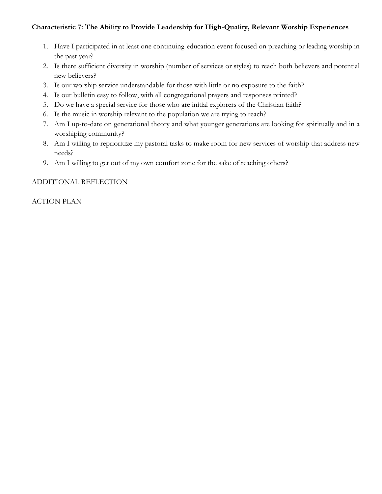## **Characteristic 7: The Ability to Provide Leadership for High-Quality, Relevant Worship Experiences**

- 1. Have I participated in at least one continuing-education event focused on preaching or leading worship in the past year?
- 2. Is there sufficient diversity in worship (number of services or styles) to reach both believers and potential new believers?
- 3. Is our worship service understandable for those with little or no exposure to the faith?
- 4. Is our bulletin easy to follow, with all congregational prayers and responses printed?
- 5. Do we have a special service for those who are initial explorers of the Christian faith?
- 6. Is the music in worship relevant to the population we are trying to reach?
- 7. Am I up-to-date on generational theory and what younger generations are looking for spiritually and in a worshiping community?
- 8. Am I willing to reprioritize my pastoral tasks to make room for new services of worship that address new needs?
- 9. Am I willing to get out of my own comfort zone for the sake of reaching others?

## ADDITIONAL REFLECTION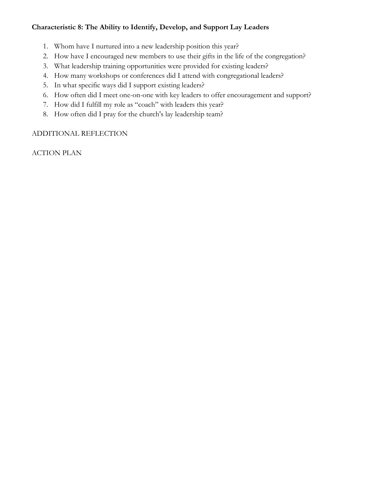## **Characteristic 8: The Ability to Identify, Develop, and Support Lay Leaders**

- 1. Whom have I nurtured into a new leadership position this year?
- 2. How have I encouraged new members to use their gifts in the life of the congregation?
- 3. What leadership training opportunities were provided for existing leaders?
- 4. How many workshops or conferences did I attend with congregational leaders?
- 5. In what specific ways did I support existing leaders?
- 6. How often did I meet one-on-one with key leaders to offer encouragement and support?
- 7. How did I fulfill my role as "coach" with leaders this year?
- 8. How often did I pray for the church's lay leadership team?

## ADDITIONAL REFLECTION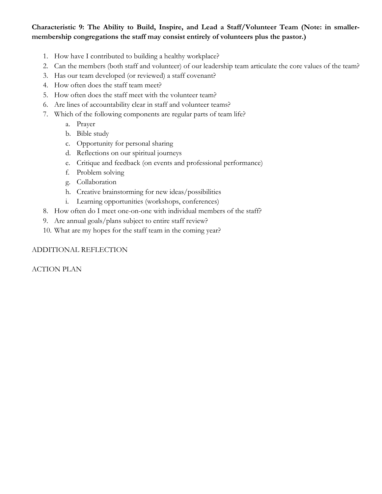**Characteristic 9: The Ability to Build, Inspire, and Lead a Staff/Volunteer Team (Note: in smallermembership congregations the staff may consist entirely of volunteers plus the pastor.)** 

- 1. How have I contributed to building a healthy workplace?
- 2. Can the members (both staff and volunteer) of our leadership team articulate the core values of the team?
- 3. Has our team developed (or reviewed) a staff covenant?
- 4. How often does the staff team meet?
- 5. How often does the staff meet with the volunteer team?
- 6. Are lines of accountability clear in staff and volunteer teams?
- 7. Which of the following components are regular parts of team life?
	- a. Prayer
	- b. Bible study
	- c. Opportunity for personal sharing
	- d. Reflections on our spiritual journeys
	- e. Critique and feedback (on events and professional performance)
	- f. Problem solving
	- g. Collaboration
	- h. Creative brainstorming for new ideas/possibilities
	- i. Learning opportunities (workshops, conferences)
- 8. How often do I meet one-on-one with individual members of the staff?
- 9. Are annual goals/plans subject to entire staff review?
- 10. What are my hopes for the staff team in the coming year?

#### ADDITIONAL REFLECTION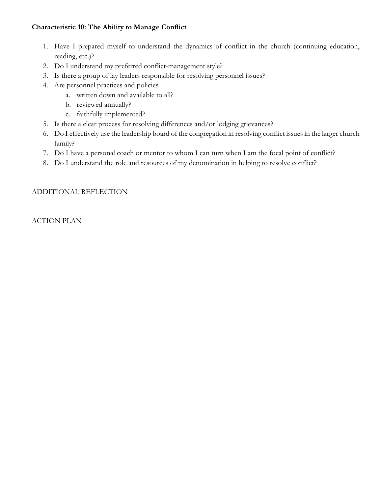## **Characteristic 10: The Ability to Manage Conflict**

- 1. Have I prepared myself to understand the dynamics of conflict in the church (continuing education, reading, etc.)?
- 2. Do I understand my preferred conflict-management style?
- 3. Is there a group of lay leaders responsible for resolving personnel issues?
- 4. Are personnel practices and policies
	- a. written down and available to all?
	- b. reviewed annually?
	- c. faithfully implemented?
- 5. Is there a clear process for resolving differences and/or lodging grievances?
- 6. Do I effectively use the leadership board of the congregation in resolving conflict issues in the larger church family?
- 7. Do I have a personal coach or mentor to whom I can turn when I am the focal point of conflict?
- 8. Do I understand the role and resources of my denomination in helping to resolve conflict?

## ADDITIONAL REFLECTION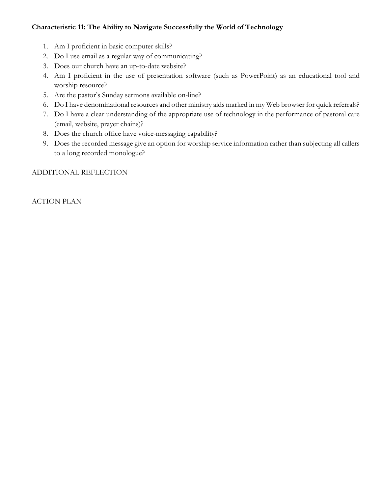## **Characteristic 11: The Ability to Navigate Successfully the World of Technology**

- 1. Am I proficient in basic computer skills?
- 2. Do I use email as a regular way of communicating?
- 3. Does our church have an up-to-date website?
- 4. Am I proficient in the use of presentation software (such as PowerPoint) as an educational tool and worship resource?
- 5. Are the pastor's Sunday sermons available on-line?
- 6. Do I have denominational resources and other ministry aids marked in my Web browser for quick referrals?
- 7. Do I have a clear understanding of the appropriate use of technology in the performance of pastoral care (email, website, prayer chains)?
- 8. Does the church office have voice-messaging capability?
- 9. Does the recorded message give an option for worship service information rather than subjecting all callers to a long recorded monologue?

#### ADDITIONAL REFLECTION